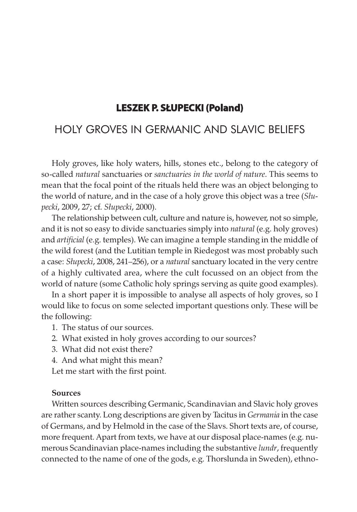# **Leszek p. słupeCki (poland)**

# HOLY GROVES IN GERMANIC AND SLAVIC BELIEFS

Holy groves, like holy waters, hills, stones etc., belong to the category of so-called natural sanctuaries or *sanctuaries in the world of nature*. This seems to mean that the focal point of the rituals held there was an object belonging to the world of nature, and in the case of a holy grove this object was a tree (Słupecki, 2009, 27; cf. Słupecki, 2000).

The relationship between cult, culture and nature is, however, not so simple, and it is not so easy to divide sanctuaries simply into *natural* (e.g. holy groves) and *artificial* (e.g. temples). We can imagine a temple standing in the middle of the wild forest (and the Lutitian temple in Riedegost was most probably such a case: Słupecki, 2008, 241–256), or a natural sanctuary located in the very centre of a highly cultivated area, where the cult focussed on an object from the world of nature (some Catholic holy springs serving as quite good examples).

In a short paper it is impossible to analyse all aspects of holy groves, so I would like to focus on some selected important questions only. These will be the following:

- 1. The status of our sources.
- 2. What existed in holy groves according to our sources?
- 3. What did not exist there?
- 4. And what might this mean?

Let me start with the first point.

### Sources

Written sources describing Germanic, Scandinavian and Slavic holy groves are rather scanty. Long descriptions are given by Tacitus in Germania in the case of Germans, and by Helmold in the case of the Slavs. Short texts are, of course, more frequent. Apart from texts, we have at our disposal place-names (e.g. numerous Scandinavian place-names including the substantive *lundr*, frequently connected to the name of one of the gods, e.g. Thorslunda in Sweden), ethno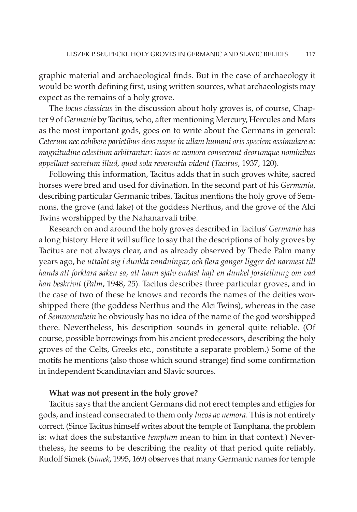graphic material and archaeological finds. But in the case of archaeology it would be worth defining first, using written sources, what archaeologists may expect as the remains of a holy grove.

The locus classicus in the discussion about holy groves is, of course, Chapter 9 of Germania by Tacitus, who, after mentioning Mercury, Hercules and Mars as the most important gods, goes on to write about the Germans in general: Ceterum nec cohibere parietibus deos neque in ullam humani oris speciem assimulare ac magnitudine celestium arbitrantur: lucos ac nemora consecrant deorumque nominibus appellant secretum illud, quod sola reverentia vident (Tacitus, 1937, 120).

Following this information, Tacitus adds that in such groves white, sacred horses were bred and used for divination. In the second part of his Germania, describing particular Germanic tribes, Tacitus mentions the holy grove of Semnons, the grove (and lake) of the goddess Nerthus, and the grove of the Alci Twins worshipped by the Nahanarvali tribe.

Research on and around the holy groves described in Tacitus' Germania has a long history. Here it will suffice to say that the descriptions of holy groves by Tacitus are not always clear, and as already observed by Thede Palm many years ago, he uttalat sig i dunkla vandningar, och flera ganger ligger det narmest till hands att forklara saken sa, att hann sjalv endast haft en dunkel forstellning om vad han beskrivit (Palm, 1948, 25). Tacitus describes three particular groves, and in the case of two of these he knows and records the names of the deities worshipped there (the goddess Nerthus and the Alci Twins), whereas in the case of Semnonenhein he obviously has no idea of the name of the god worshipped there. Nevertheless, his description sounds in general quite reliable. (Of course, possible borrowings from his ancient predecessors, describing the holy groves of the Celts, Greeks etc., constitute a separate problem.) Some of the motifs he mentions (also those which sound strange) find some confirmation in independent Scandinavian and Slavic sources.

## What was not present in the holy grove?

Tacitus says that the ancient Germans did not erect temples and effigies for gods, and instead consecrated to them only lucos ac nemora. This is not entirely correct. (Since Tacitus himself writes about the temple of Tamphana, the problem is: what does the substantive *templum* mean to him in that context.) Nevertheless, he seems to be describing the reality of that period quite reliably. Rudolf Simek (Simek, 1995, 169) observes that many Germanic names for temple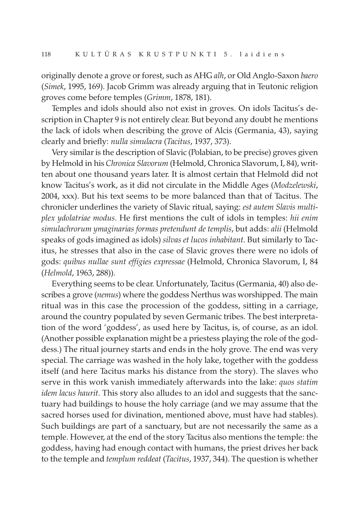originally denote a grove or forest, such as AHG alh, or Old Anglo-Saxon baero (Simek, 1995, 169). Jacob Grimm was already arguing that in Teutonic religion groves come before temples (Grimm, 1878, 181).

Temples and idols should also not exist in groves. On idols Tacitus's description in Chapter 9 is not entirely clear. But beyond any doubt he mentions the lack of idols when describing the grove of Alcis (Germania, 43), saying clearly and briefly: nulla simulacra (Tacitus, 1937, 373).

Very similar is the description of Slavic (Polabian, to be precise) groves given by Helmold in his Chronica Slavorum (Helmold, Chronica Slavorum, I, 84), written about one thousand years later. It is almost certain that Helmold did not know Tacitus's work, as it did not circulate in the Middle Ages (Modzelewski, 2004, xxx). But his text seems to be more balanced than that of Tacitus. The chronicler underlines the variety of Slavic ritual, saying: est autem Slavis multiplex ydolatriae modus. He first mentions the cult of idols in temples: hii enim simulachrorum ymaginarias formas pretendunt de templis, but adds: alii (Helmold speaks of gods imagined as idols) silvas et lucos inhabitant. But similarly to Tacitus, he stresses that also in the case of Slavic groves there were no idols of gods: quibus nullae sunt effigies expressae (Helmold, Chronica Slavorum, I, 84 (Helmold, 1963, 288)).

Everything seems to be clear. Unfortunately, Tacitus (Germania, 40) also describes a grove (*nemus*) where the goddess Nerthus was worshipped. The main ritual was in this case the procession of the goddess, sitting in a carriage, around the country populated by seven Germanic tribes. The best interpretation of the word 'goddess', as used here by Tacitus, is, of course, as an idol. (Another possible explanation might be a priestess playing the role of the goddess.) The ritual journey starts and ends in the holy grove. The end was very special. The carriage was washed in the holy lake, together with the goddess itself (and here Tacitus marks his distance from the story). The slaves who serve in this work vanish immediately afterwards into the lake: *quos statim* idem lacus haurit. This story also alludes to an idol and suggests that the sanctuary had buildings to house the holy carriage (and we may assume that the sacred horses used for divination, mentioned above, must have had stables). Such buildings are part of a sanctuary, but are not necessarily the same as a temple. However, at the end of the story Tacitus also mentions the temple: the goddess, having had enough contact with humans, the priest drives her back to the temple and templum reddeat (Tacitus, 1937, 344). The question is whether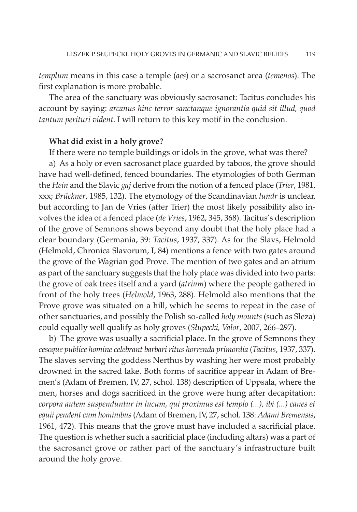templum means in this case a temple (aes) or a sacrosanct area (temenos). The first explanation is more probable.

The area of the sanctuary was obviously sacrosanct: Tacitus concludes his account by saying: arcanus hinc terror sanctanque ignorantia quid sit illud, quod tantum perituri vident. I will return to this key motif in the conclusion.

### What did exist in a holy grove?

If there were no temple buildings or idols in the grove, what was there?

a) As a holy or even sacrosanct place guarded by taboos, the grove should have had well-defined, fenced boundaries. The etymologies of both German the Hein and the Slavic gaj derive from the notion of a fenced place (Trier, 1981, xxx; Brűckner, 1985, 132). The etymology of the Scandinavian lundr is unclear, but according to Jan de Vries (after Trier) the most likely possibility also involves the idea of a fenced place (de Vries, 1962, 345, 368). Tacitus's description of the grove of Semnons shows beyond any doubt that the holy place had a clear boundary (Germania, 39: Tacitus, 1937, 337). As for the Slavs, Helmold (Helmold, Chronica Slavorum, I, 84) mentions a fence with two gates around the grove of the Wagrian god Prove. The mention of two gates and an atrium as part of the sanctuary suggests that the holy place was divided into two parts: the grove of oak trees itself and a yard (atrium) where the people gathered in front of the holy trees (Helmold, 1963, 288). Helmold also mentions that the Prove grove was situated on a hill, which he seems to repeat in the case of other sanctuaries, and possibly the Polish so-called holy mounts (such as Sleza) could equally well qualify as holy groves (Słupecki, Valor, 2007, 266–297).

b) The grove was usually a sacrificial place. In the grove of Semnons they cesoque publice homine celebrant barbari ritus horrenda primordia (Tacitus, 1937, 337). The slaves serving the goddess Nerthus by washing her were most probably drowned in the sacred lake. Both forms of sacrifice appear in Adam of Bremen's (Adam of Bremen, IV, 27, schol. 138) description of Uppsala, where the men, horses and dogs sacrificed in the grove were hung after decapitation: corpora autem suspenduntur in lucum, qui proximus est templo (...), ibi (...) canes et equii pendent cum hominibus (Adam of Bremen, IV, 27, schol. 138: Adami Bremensis, 1961, 472). This means that the grove must have included a sacrificial place. The question is whether such a sacrificial place (including altars) was a part of the sacrosanct grove or rather part of the sanctuary's infrastructure built around the holy grove.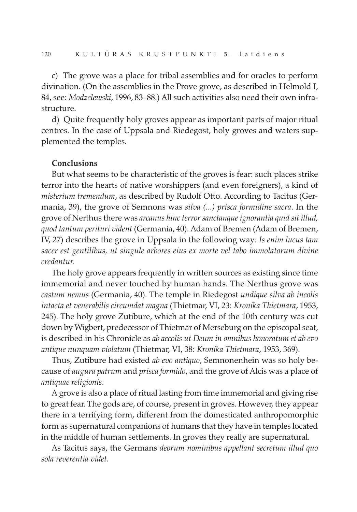c) The grove was a place for tribal assemblies and for oracles to perform divination. (On the assemblies in the Prove grove, as described in Helmold I, 84, see: Modzelewski, 1996, 83–88.) All such activities also need their own infrastructure.

d) Quite frequently holy groves appear as important parts of major ritual centres. In the case of Uppsala and Riedegost, holy groves and waters supplemented the temples.

#### Conclusions

But what seems to be characteristic of the groves is fear: such places strike terror into the hearts of native worshippers (and even foreigners), a kind of misterium tremendum, as described by Rudolf Otto. According to Tacitus (Germania, 39), the grove of Semnons was *silva* (...) *prisca formidine sacra*. In the grove of Nerthus there was arcanus hinc terror sanctanque ignorantia quid sit illud, quod tantum perituri vident (Germania, 40). Adam of Bremen (Adam of Bremen, IV, 27) describes the grove in Uppsala in the following way: Is enim lucus tam sacer est gentilibus, ut singule arbores eius ex morte vel tabo immolatorum divine credantur.

The holy grove appears frequently in written sources as existing since time immemorial and never touched by human hands. The Nerthus grove was castum nemus (Germania, 40). The temple in Riedegost undique silva ab incolis intacta et venerabilis circumdat magna (Thietmar, VI, 23: Kronika Thietmara, 1953, 245). The holy grove Zutibure, which at the end of the 10th century was cut down by Wigbert, predecessor of Thietmar of Merseburg on the episcopal seat, is described in his Chronicle as ab accolis ut Deum in omnibus honoratum et ab evo antique nunquam violatum (Thietmar, VI, 38: Kronika Thietmara, 1953, 369).

Thus, Zutibure had existed ab evo antiquo, Semnonenhein was so holy because of augura patrum and prisca formido, and the grove of Alcis was a place of antiquae religionis.

A grove is also a place of ritual lasting from time immemorial and giving rise to great fear. The gods are, of course, present in groves. However, they appear there in a terrifying form, different from the domesticated anthropomorphic form as supernatural companions of humans that they have in temples located in the middle of human settlements. In groves they really are supernatural.

As Tacitus says, the Germans deorum nominibus appellant secretum illud quo sola reverentia videt.